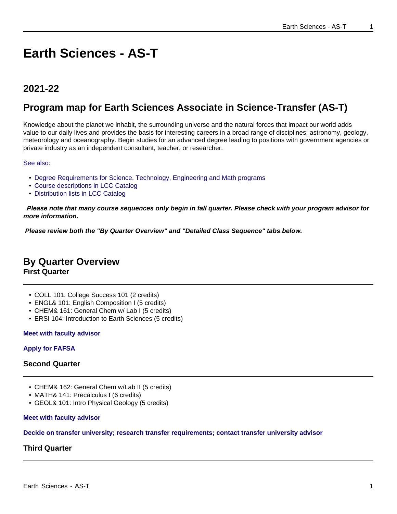# **Earth Sciences - AS-T**

## **2021-22**

## **Program map for Earth Sciences Associate in Science-Transfer (AS-T)**

Knowledge about the planet we inhabit, the surrounding universe and the natural forces that impact our world adds value to our daily lives and provides the basis for interesting careers in a broad range of disciplines: astronomy, geology, meteorology and oceanography. Begin studies for an advanced degree leading to positions with government agencies or private industry as an independent consultant, teacher, or researcher.

See also:

- Degree Requirements for Science, Technology, Engineering and Math programs
- Course descriptions in LCC Catalog
- Distribution lists in LCC Catalog

 **Please note that many course sequences only begin in fall quarter. Please check with your program advisor for more information.**

**Please review both the "By Quarter Overview" and "Detailed Class Sequence" tabs below.**

## **By Quarter Overview**

**First Quarter**

- COLL 101: College Success 101 (2 credits)
- ENGL& 101: English Composition I (5 credits)
- CHEM& 161: General Chem w/ Lab I (5 credits)
- ERSI 104: Introduction to Earth Sciences (5 credits)

#### **Meet with faculty advisor**

#### **Apply for FAFSA**

#### **Second Quarter**

- CHEM& 162: General Chem w/Lab II (5 credits)
- MATH& 141: Precalculus I (6 credits)
- GEOL& 101: Intro Physical Geology (5 credits)

#### **Meet with faculty advisor**

#### **Decide on transfer university; research transfer requirements; contact transfer university advisor**

## **Third Quarter**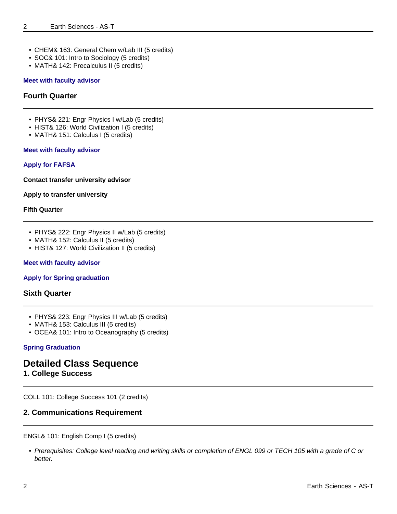- CHEM& 163: General Chem w/Lab III (5 credits)
- SOC& 101: Intro to Sociology (5 credits)
- MATH& 142: Precalculus II (5 credits)

#### **Meet with faculty advisor**

#### **Fourth Quarter**

- PHYS& 221: Engr Physics I w/Lab (5 credits)
- HIST& 126: World Civilization I (5 credits)
- MATH& 151: Calculus I (5 credits)

#### **Meet with faculty advisor**

#### **Apply for FAFSA**

**Contact transfer university advisor**

#### **Apply to transfer university**

#### **Fifth Quarter**

- PHYS& 222: Engr Physics II w/Lab (5 credits)
- MATH& 152: Calculus II (5 credits)
- HIST& 127: World Civilization II (5 credits)

#### **Meet with faculty advisor**

#### **Apply for Spring graduation**

#### **Sixth Quarter**

- PHYS& 223: Engr Physics III w/Lab (5 credits)
- MATH& 153: Calculus III (5 credits)
- OCEA& 101: Intro to Oceanography (5 credits)

#### **Spring Graduation**

## **Detailed Class Sequence**

### **1. College Success**

COLL 101: College Success 101 (2 credits)

#### **2. Communications Requirement**

#### ENGL& 101: English Comp I (5 credits)

• Prerequisites: College level reading and writing skills or completion of ENGL 099 or TECH 105 with a grade of C or better.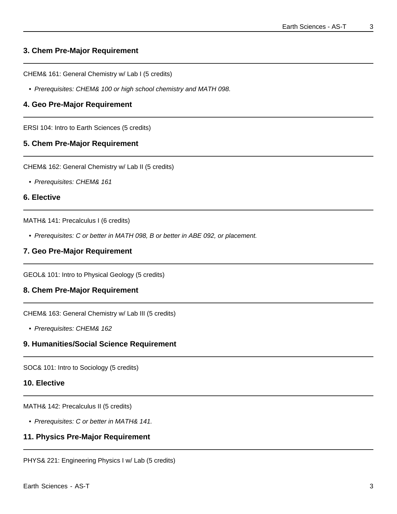## **3. Chem Pre-Major Requirement**

CHEM& 161: General Chemistry w/ Lab I (5 credits)

• Prerequisites: CHEM& 100 or high school chemistry and MATH 098.

## **4. Geo Pre-Major Requirement**

ERSI 104: Intro to Earth Sciences (5 credits)

## **5. Chem Pre-Major Requirement**

CHEM& 162: General Chemistry w/ Lab II (5 credits)

• Prerequisites: CHEM& 161

### **6. Elective**

MATH& 141: Precalculus I (6 credits)

• Prerequisites: C or better in MATH 098, B or better in ABE 092, or placement.

## **7. Geo Pre-Major Requirement**

GEOL& 101: Intro to Physical Geology (5 credits)

## **8. Chem Pre-Major Requirement**

CHEM& 163: General Chemistry w/ Lab III (5 credits)

• Prerequisites: CHEM& 162

## **9. Humanities/Social Science Requirement**

SOC& 101: Intro to Sociology (5 credits)

#### **10. Elective**

MATH& 142: Precalculus II (5 credits)

• Prerequisites: C or better in MATH& 141.

## **11. Physics Pre-Major Requirement**

PHYS& 221: Engineering Physics I w/ Lab (5 credits)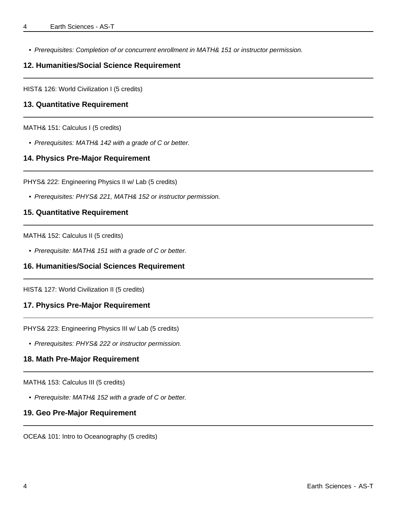• Prerequisites: Completion of or concurrent enrollment in MATH& 151 or instructor permission.

### **12. Humanities/Social Science Requirement**

HIST& 126: World Civilization I (5 credits)

#### **13. Quantitative Requirement**

MATH& 151: Calculus I (5 credits)

• Prerequisites: MATH& 142 with a grade of C or better.

#### **14. Physics Pre-Major Requirement**

PHYS& 222: Engineering Physics II w/ Lab (5 credits)

• Prerequisites: PHYS& 221, MATH& 152 or instructor permission.

#### **15. Quantitative Requirement**

MATH& 152: Calculus II (5 credits)

• Prerequisite: MATH& 151 with a grade of C or better.

### **16. Humanities/Social Sciences Requirement**

HIST& 127: World Civilization II (5 credits)

#### **17. Physics Pre-Major Requirement**

PHYS& 223: Engineering Physics III w/ Lab (5 credits)

• Prerequisites: PHYS& 222 or instructor permission.

#### **18. Math Pre-Major Requirement**

MATH& 153: Calculus III (5 credits)

• Prerequisite: MATH& 152 with a grade of C or better.

#### **19. Geo Pre-Major Requirement**

OCEA& 101: Intro to Oceanography (5 credits)